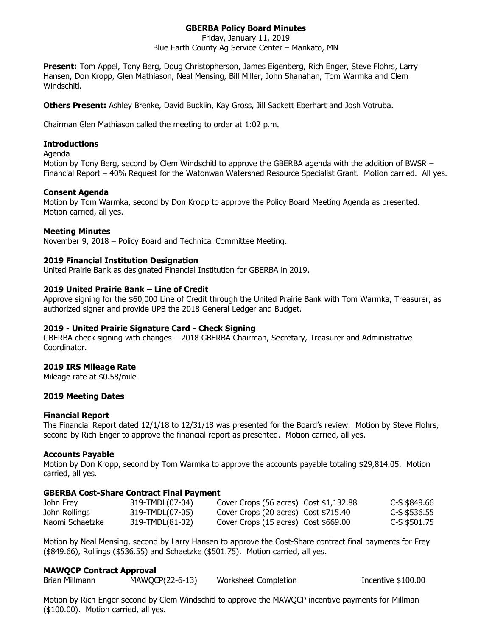# **GBERBA Policy Board Minutes**

Friday, January 11, 2019 Blue Earth County Ag Service Center – Mankato, MN

**Present:** Tom Appel, Tony Berg, Doug Christopherson, James Eigenberg, Rich Enger, Steve Flohrs, Larry Hansen, Don Kropp, Glen Mathiason, Neal Mensing, Bill Miller, John Shanahan, Tom Warmka and Clem Windschitl.

**Others Present:** Ashley Brenke, David Bucklin, Kay Gross, Jill Sackett Eberhart and Josh Votruba.

Chairman Glen Mathiason called the meeting to order at 1:02 p.m.

## **Introductions**

#### Agenda

Motion by Tony Berg, second by Clem Windschitl to approve the GBERBA agenda with the addition of BWSR – Financial Report – 40% Request for the Watonwan Watershed Resource Specialist Grant. Motion carried. All yes.

## **Consent Agenda**

Motion by Tom Warmka, second by Don Kropp to approve the Policy Board Meeting Agenda as presented. Motion carried, all yes.

## **Meeting Minutes**

November 9, 2018 – Policy Board and Technical Committee Meeting.

## **2019 Financial Institution Designation**

United Prairie Bank as designated Financial Institution for GBERBA in 2019.

## **2019 United Prairie Bank – Line of Credit**

Approve signing for the \$60,000 Line of Credit through the United Prairie Bank with Tom Warmka, Treasurer, as authorized signer and provide UPB the 2018 General Ledger and Budget.

### **2019 - United Prairie Signature Card - Check Signing**

GBERBA check signing with changes – 2018 GBERBA Chairman, Secretary, Treasurer and Administrative Coordinator.

### **2019 IRS Mileage Rate**

Mileage rate at \$0.58/mile

### **2019 Meeting Dates**

### **Financial Report**

The Financial Report dated 12/1/18 to 12/31/18 was presented for the Board's review. Motion by Steve Flohrs, second by Rich Enger to approve the financial report as presented. Motion carried, all yes.

### **Accounts Payable**

Motion by Don Kropp, second by Tom Warmka to approve the accounts payable totaling \$29,814.05. Motion carried, all yes.

### **GBERBA Cost-Share Contract Final Payment**

| John Frey       | 319-TMDL(07-04) | Cover Crops $(56 \text{ acres})$ Cost $$1,132.88$ | C-S \$849.66 |
|-----------------|-----------------|---------------------------------------------------|--------------|
| John Rollings   | 319-TMDL(07-05) | Cover Crops (20 acres) Cost \$715.40              | C-S \$536.55 |
| Naomi Schaetzke | 319-TMDL(81-02) | Cover Crops (15 acres) Cost \$669.00              | C-S \$501.75 |

Motion by Neal Mensing, second by Larry Hansen to approve the Cost-Share contract final payments for Frey (\$849.66), Rollings (\$536.55) and Schaetzke (\$501.75). Motion carried, all yes.

### **MAWQCP Contract Approval**

Brian Millmann MAWOCP(22-6-13) Worksheet Completion Incentive \$100.00

Motion by Rich Enger second by Clem Windschitl to approve the MAWQCP incentive payments for Millman (\$100.00). Motion carried, all yes.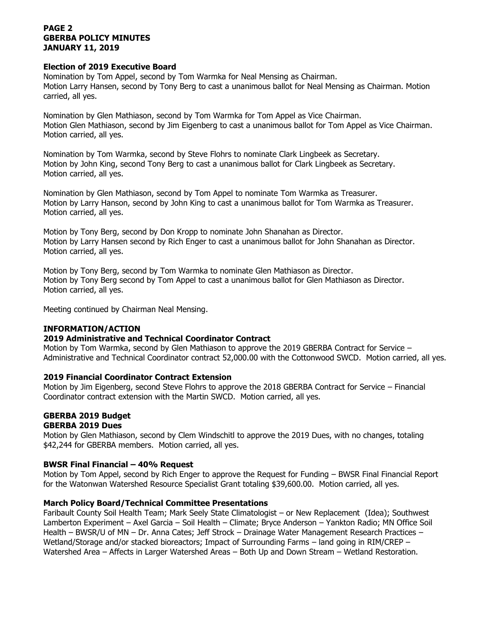## **PAGE 2 GBERBA POLICY MINUTES JANUARY 11, 2019**

### **Election of 2019 Executive Board**

Nomination by Tom Appel, second by Tom Warmka for Neal Mensing as Chairman. Motion Larry Hansen, second by Tony Berg to cast a unanimous ballot for Neal Mensing as Chairman. Motion carried, all yes.

Nomination by Glen Mathiason, second by Tom Warmka for Tom Appel as Vice Chairman. Motion Glen Mathiason, second by Jim Eigenberg to cast a unanimous ballot for Tom Appel as Vice Chairman. Motion carried, all yes.

Nomination by Tom Warmka, second by Steve Flohrs to nominate Clark Lingbeek as Secretary. Motion by John King, second Tony Berg to cast a unanimous ballot for Clark Lingbeek as Secretary. Motion carried, all yes.

Nomination by Glen Mathiason, second by Tom Appel to nominate Tom Warmka as Treasurer. Motion by Larry Hanson, second by John King to cast a unanimous ballot for Tom Warmka as Treasurer. Motion carried, all yes.

Motion by Tony Berg, second by Don Kropp to nominate John Shanahan as Director. Motion by Larry Hansen second by Rich Enger to cast a unanimous ballot for John Shanahan as Director. Motion carried, all yes.

Motion by Tony Berg, second by Tom Warmka to nominate Glen Mathiason as Director. Motion by Tony Berg second by Tom Appel to cast a unanimous ballot for Glen Mathiason as Director. Motion carried, all yes.

Meeting continued by Chairman Neal Mensing.

# **INFORMATION/ACTION**

### **2019 Administrative and Technical Coordinator Contract**

Motion by Tom Warmka, second by Glen Mathiason to approve the 2019 GBERBA Contract for Service – Administrative and Technical Coordinator contract 52,000.00 with the Cottonwood SWCD. Motion carried, all yes.

# **2019 Financial Coordinator Contract Extension**

Motion by Jim Eigenberg, second Steve Flohrs to approve the 2018 GBERBA Contract for Service – Financial Coordinator contract extension with the Martin SWCD. Motion carried, all yes.

# **GBERBA 2019 Budget**

# **GBERBA 2019 Dues**

Motion by Glen Mathiason, second by Clem Windschitl to approve the 2019 Dues, with no changes, totaling \$42,244 for GBERBA members. Motion carried, all yes.

# **BWSR Final Financial – 40% Request**

Motion by Tom Appel, second by Rich Enger to approve the Request for Funding – BWSR Final Financial Report for the Watonwan Watershed Resource Specialist Grant totaling \$39,600.00. Motion carried, all yes.

# **March Policy Board/Technical Committee Presentations**

Faribault County Soil Health Team; Mark Seely State Climatologist – or New Replacement (Idea); Southwest Lamberton Experiment – Axel Garcia – Soil Health – Climate; Bryce Anderson – Yankton Radio; MN Office Soil Health – BWSR/U of MN – Dr. Anna Cates; Jeff Strock – Drainage Water Management Research Practices – Wetland/Storage and/or stacked bioreactors; Impact of Surrounding Farms – land going in RIM/CREP – Watershed Area – Affects in Larger Watershed Areas – Both Up and Down Stream – Wetland Restoration.